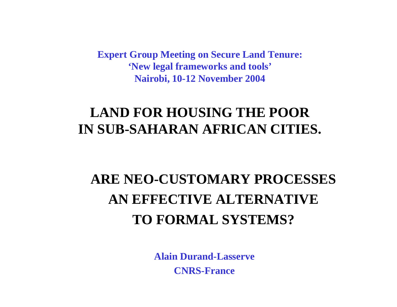**Expert Group Meeting on Secure Land Tenure: 'New legal frameworks and tools' Nairobi, 10-12 November 2004**

## **LAND FOR HOUSING THE POOR IN SUB-SAHARAN AFRICAN CITIES.**

## **ARE NEO-CUSTOMARY PROCESSES AN EFFECTIVE ALTERNATIVE TO FORMAL SYSTEMS?**

**Alain Durand-Lasserve CNRS-France**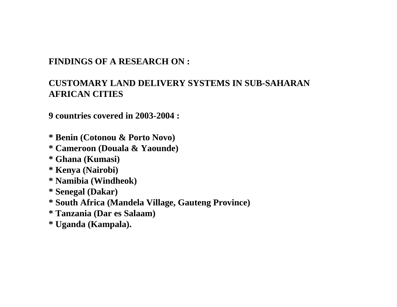#### **FINDINGS OF A RESEARCH ON :**

#### **CUSTOMARY LAND DELIVERY SYSTEMS IN SUB-SAHARAN AFRICAN CITIES**

**9 countries covered in 2003-2004 :**

- **\* Benin (Cotonou & Porto Novo)**
- **\* Cameroon (Douala & Yaounde)**
- **\* Ghana (Kumasi)**
- **\* Kenya (Nairobi)**
- **\* Namibia (Windheok)**
- **\* Senegal (Dakar)**
- **\* South Africa (Mandela Village, Gauteng Province)**
- **\* Tanzania (Dar es Salaam)**
- **\* Uganda (Kampala).**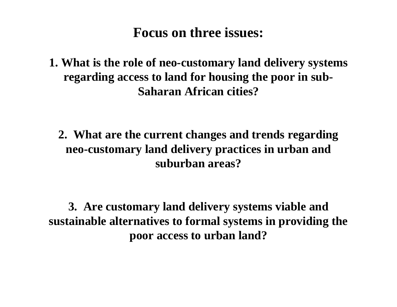## **Focus on three issues:**

**1. What is the role of neo-customary land delivery systems regarding access to land for housing the poor in sub-Saharan African cities?**

**2. What are the current changes and trends regarding neo-customary land delivery practices in urban and suburban areas?**

**3. Are customary land delivery systems viable and sustainable alternatives to formal systems in providing the poor access to urban land?**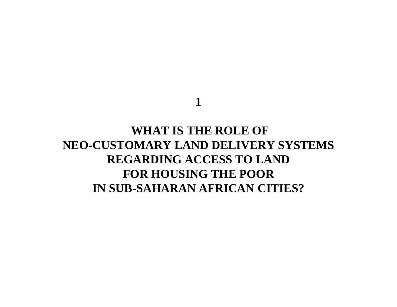**1**

### **WHAT IS THE ROLE OF NEO-CUSTOMARY LAND DELIVERY SYSTEMS REGARDING ACCESS TO LAND FOR HOUSING THE POOR IN SUB-SAHARAN AFRICAN CITIES?**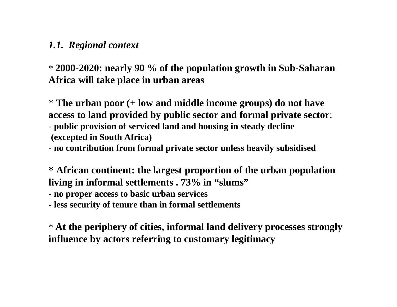#### *1.1. Regional context*

\* **2000-2020: nearly 90 % of the population growth in Sub-Saharan Africa will take place in urban areas**

\* **The urban poor (+ low and middle income groups) do not have access to land provided by public sector and formal private sector**: - **public provision of serviced land and housing in steady decline (excepted in South Africa)** 

- **no contribution from formal private sector unless heavily subsidised**

**\* African continent: the largest proportion of the urban population living in informal settlements . 73% in "slums"**

- **no proper access to basic urban services**

- **less security of tenure than in formal settlements**

\* **At the periphery of cities, informal land delivery processes strongly influence by actors referring to customary legitimacy**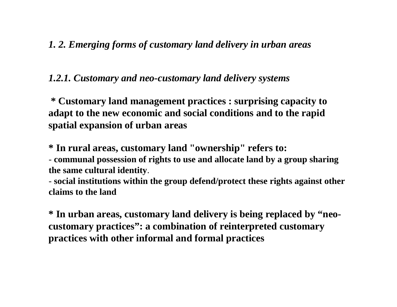#### *1. 2. Emerging forms of customary land delivery in urban areas*

#### *1.2.1. Customary and neo-customary land delivery systems*

**\* Customary land management practices : surprising capacity to adapt to the new economic and social conditions and to the rapid spatial expansion of urban areas**

**\* In rural areas, customary land "ownership" refers to:**

- **communal possession of rights to use and allocate land by a group sharing the same cultural identity**.

- **social institutions within the group defend/protect these rights against other claims to the land**

**\* In urban areas, customary land delivery is being replaced by "neocustomary practices": a combination of reinterpreted customary practices with other informal and formal practices**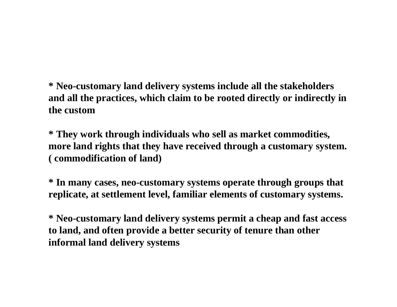**\* Neo-customary land delivery systems include all the stakeholders and all the practices, which claim to be rooted directly or indirectly in the custom**

**\* They work through individuals who sell as market commodities, more land rights that they have received through a customary system. ( commodification of land)**

**\* In many cases, neo-customary systems operate through groups that replicate, at settlement level, familiar elements of customary systems.**

**\* Neo-customary land delivery systems permit a cheap and fast access to land, and often provide a better security of tenure than other informal land delivery systems**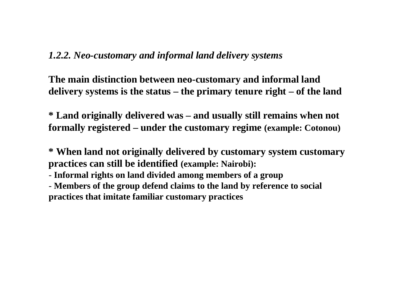#### *1.2.2. Neo-customary and informal land delivery systems*

**The main distinction between neo-customary and informal land delivery systems is the status – the primary tenure right – of the land** 

**\* Land originally delivered was – and usually still remains when not formally registered – under the customary regime (example: Cotonou)**

**\* When land not originally delivered by customary system customary practices can still be identified (example: Nairobi):**

- **Informal rights on land divided among members of a group**

- **Members of the group defend claims to the land by reference to social practices that imitate familiar customary practices**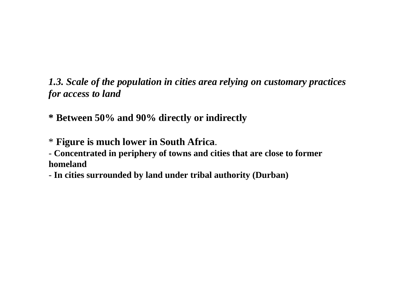*1.3. Scale of the population in cities area relying on customary practices for access to land* 

**\* Between 50% and 90% directly or indirectly** 

\* **Figure is much lower in South Africa**.

- **Concentrated in periphery of towns and cities that are close to former homeland** 

- **In cities surrounded by land under tribal authority (Durban)**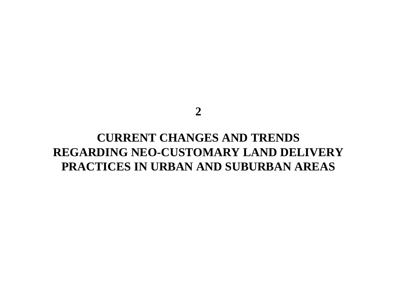**2**

### **CURRENT CHANGES AND TRENDS REGARDING NEO-CUSTOMARY LAND DELIVERY PRACTICES IN URBAN AND SUBURBAN AREAS**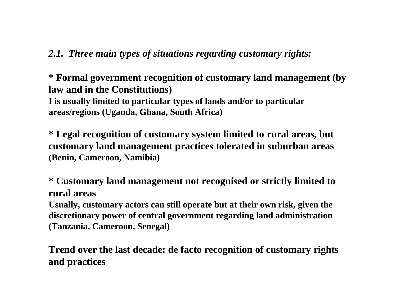#### *2.1. Three main types of situations regarding customary rights:*

**\* Formal government recognition of customary land management (by law and in the Constitutions) I is usually limited to particular types of lands and/or to particular areas/regions (Uganda, Ghana, South Africa)**

**\* Legal recognition of customary system limited to rural areas, but customary land management practices tolerated in suburban areas (Benin, Cameroon, Namibia)**

**\* Customary land management not recognised or strictly limited to rural areas**

**Usually, customary actors can still operate but at their own risk, given the discretionary power of central government regarding land administration (Tanzania, Cameroon, Senegal)**

**Trend over the last decade: de facto recognition of customary rights and practices**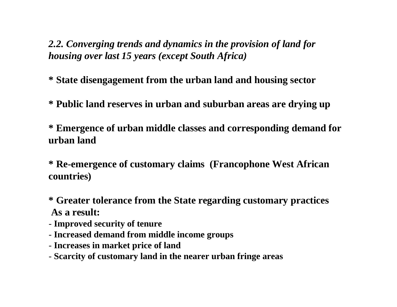*2.2. Converging trends and dynamics in the provision of land for housing over last 15 years (except South Africa)*

**\* State disengagement from the urban land and housing sector**

**\* Public land reserves in urban and suburban areas are drying up**

**\* Emergence of urban middle classes and corresponding demand for urban land** 

**\* Re-emergence of customary claims (Francophone West African countries)**

- **\* Greater tolerance from the State regarding customary practices As a result:**
- **Improved security of tenure**
- **Increased demand from middle income groups**
- **Increases in market price of land**
- **Scarcity of customary land in the nearer urban fringe areas**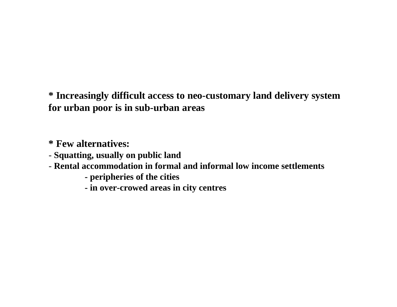**\* Increasingly difficult access to neo-customary land delivery system for urban poor is in sub-urban areas**

**\* Few alternatives:**

- **Squatting, usually on public land**
- **Rental accommodation in formal and informal low income settlements**
	- **- peripheries of the cities**
	- **- in over-crowed areas in city centres**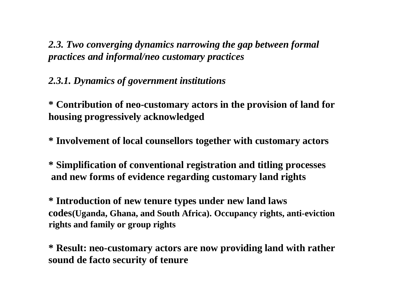*2.3. Two converging dynamics narrowing the gap between formal practices and informal/neo customary practices* 

#### *2.3.1. Dynamics of government institutions*

**\* Contribution of neo-customary actors in the provision of land for housing progressively acknowledged** 

**\* Involvement of local counsellors together with customary actors** 

**\* Simplification of conventional registration and titling processes and new forms of evidence regarding customary land rights**

**\* Introduction of new tenure types under new land laws codes(Uganda, Ghana, and South Africa). Occupancy rights, anti-eviction rights and family or group rights** 

**\* Result: neo-customary actors are now providing land with rather sound de facto security of tenure**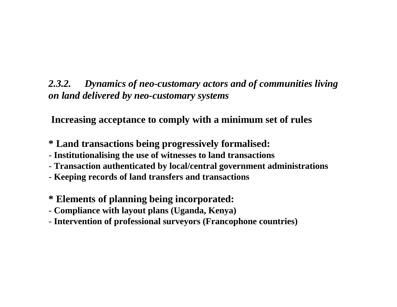#### *2.3.2. Dynamics of neo-customary actors and of communities living on land delivered by neo-customary systems*

**Increasing acceptance to comply with a minimum set of rules** 

- **\* Land transactions being progressively formalised:**
- **Institutionalising the use of witnesses to land transactions**
- **Transaction authenticated by local/central government administrations**
- **Keeping records of land transfers and transactions**
- **\* Elements of planning being incorporated:**
- **Compliance with layout plans (Uganda, Kenya)**
- **Intervention of professional surveyors (Francophone countries)**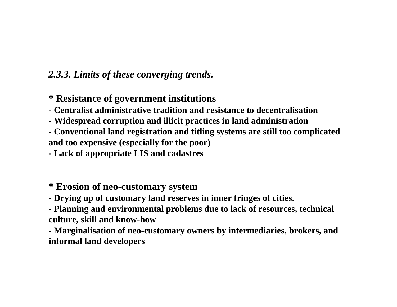#### *2.3.3. Limits of these converging trends.*

#### **\* Resistance of government institutions**

**- Centralist administrative tradition and resistance to decentralisation** 

- **Widespread corruption and illicit practices in land administration**
- **- Conventional land registration and titling systems are still too complicated and too expensive (especially for the poor)**

**- Lack of appropriate LIS and cadastres**

**\* Erosion of neo-customary system** 

- **Drying up of customary land reserves in inner fringes of cities.**

- **Planning and environmental problems due to lack of resources, technical culture, skill and know-how** 

- **Marginalisation of neo-customary owners by intermediaries, brokers, and informal land developers**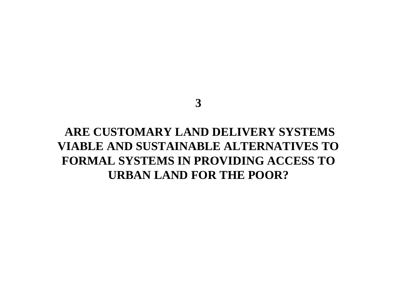#### **3**

### **ARE CUSTOMARY LAND DELIVERY SYSTEMS VIABLE AND SUSTAINABLE ALTERNATIVES TO FORMAL SYSTEMS IN PROVIDING ACCESS TO URBAN LAND FOR THE POOR?**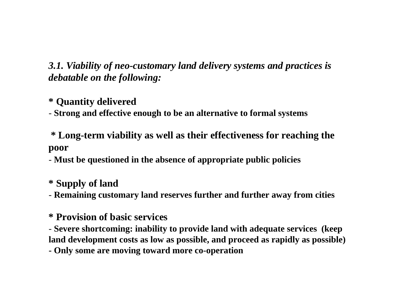*3.1. Viability of neo-customary land delivery systems and practices is debatable on the following:* 

**\* Quantity delivered**

- **Strong and effective enough to be an alternative to formal systems**

**\* Long-term viability as well as their effectiveness for reaching the poor** 

- **Must be questioned in the absence of appropriate public policies**

**\* Supply of land**

- **Remaining customary land reserves further and further away from cities** 

**\* Provision of basic services**

- **Severe shortcoming: inability to provide land with adequate services (keep land development costs as low as possible, and proceed as rapidly as possible)** 

**- Only some are moving toward more co-operation**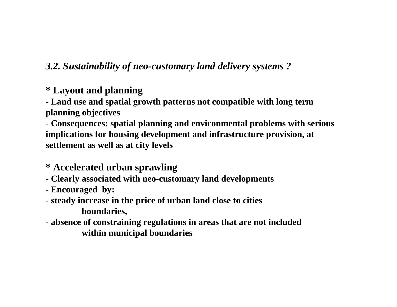#### *3.2. Sustainability of neo-customary land delivery systems ?*

#### **\* Layout and planning**

- **Land use and spatial growth patterns not compatible with long term planning objectives**

- **Consequences: spatial planning and environmental problems with serious implications for housing development and infrastructure provision, at settlement as well as at city levels**

- **\* Accelerated urban sprawling**
- **Clearly associated with neo-customary land developments**
- **Encouraged by:**
- **steady increase in the price of urban land close to cities boundaries,**
- **absence of constraining regulations in areas that are not included within municipal boundaries**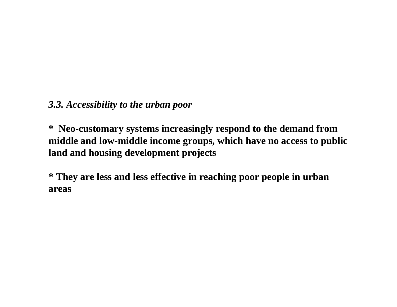*3.3. Accessibility to the urban poor*

**\* Neo-customary systems increasingly respond to the demand from middle and low-middle income groups, which have no access to public land and housing development projects** 

**\* They are less and less effective in reaching poor people in urban areas**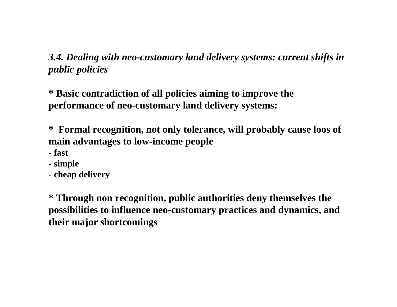*3.4. Dealing with neo-customary land delivery systems: current shifts in public policies* 

**\* Basic contradiction of all policies aiming to improve the performance of neo-customary land delivery systems:** 

**\* Formal recognition, not only tolerance, will probably cause loos of main advantages to low-income people** 

- **fast**
- **simple**
- **cheap delivery**

**\* Through non recognition, public authorities deny themselves the possibilities to influence neo-customary practices and dynamics, and their major shortcomings**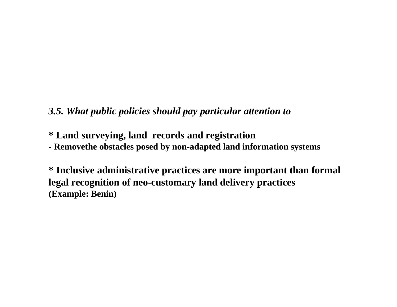#### *3.5. What public policies should pay particular attention to*

**\* Land surveying, land records and registration**

**- Removethe obstacles posed by non-adapted land information systems**

**\* Inclusive administrative practices are more important than formal legal recognition of neo-customary land delivery practices (Example: Benin)**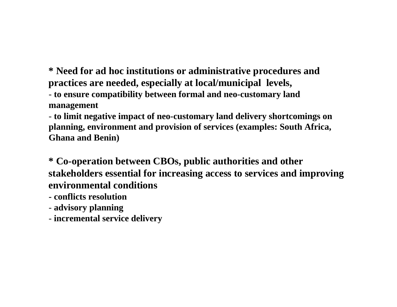**\* Need for ad hoc institutions or administrative procedures and practices are needed, especially at local/municipal levels,**

- **to ensure compatibility between formal and neo-customary land management**

- **to limit negative impact of neo-customary land delivery shortcomings on planning, environment and provision of services (examples: South Africa, Ghana and Benin)**

**\* Co-operation between CBOs, public authorities and other stakeholders essential for increasing access to services and improving environmental conditions**

- **- conflicts resolution**
- **advisory planning**
- **incremental service delivery**